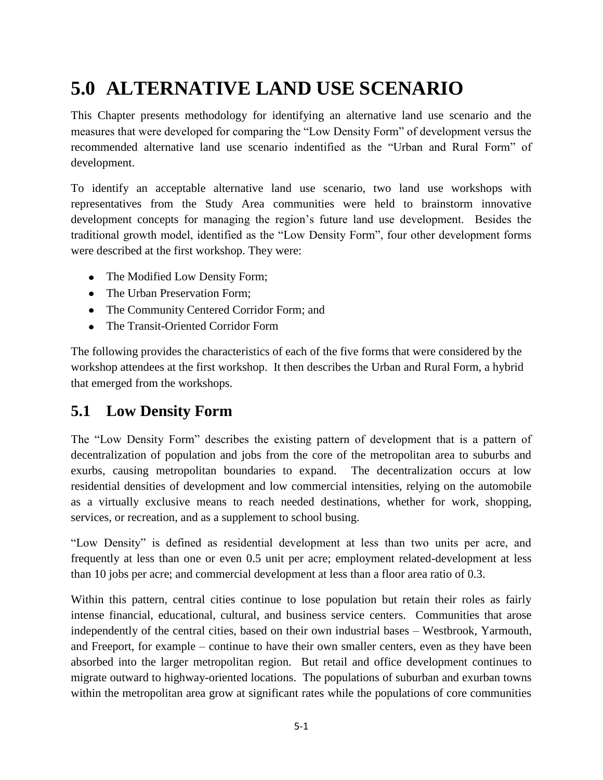# **5.0 ALTERNATIVE LAND USE SCENARIO**

This Chapter presents methodology for identifying an alternative land use scenario and the measures that were developed for comparing the "Low Density Form" of development versus the recommended alternative land use scenario indentified as the "Urban and Rural Form" of development.

To identify an acceptable alternative land use scenario, two land use workshops with representatives from the Study Area communities were held to brainstorm innovative development concepts for managing the region's future land use development. Besides the traditional growth model, identified as the "Low Density Form", four other development forms were described at the first workshop. They were:

- The Modified Low Density Form;
- The Urban Preservation Form:
- The Community Centered Corridor Form; and
- The Transit-Oriented Corridor Form

The following provides the characteristics of each of the five forms that were considered by the workshop attendees at the first workshop. It then describes the Urban and Rural Form, a hybrid that emerged from the workshops.

#### **5.1 Low Density Form**

The "Low Density Form" describes the existing pattern of development that is a pattern of decentralization of population and jobs from the core of the metropolitan area to suburbs and exurbs, causing metropolitan boundaries to expand. The decentralization occurs at low residential densities of development and low commercial intensities, relying on the automobile as a virtually exclusive means to reach needed destinations, whether for work, shopping, services, or recreation, and as a supplement to school busing.

"Low Density" is defined as residential development at less than two units per acre, and frequently at less than one or even 0.5 unit per acre; employment related-development at less than 10 jobs per acre; and commercial development at less than a floor area ratio of 0.3.

Within this pattern, central cities continue to lose population but retain their roles as fairly intense financial, educational, cultural, and business service centers. Communities that arose independently of the central cities, based on their own industrial bases – Westbrook, Yarmouth, and Freeport, for example – continue to have their own smaller centers, even as they have been absorbed into the larger metropolitan region. But retail and office development continues to migrate outward to highway-oriented locations. The populations of suburban and exurban towns within the metropolitan area grow at significant rates while the populations of core communities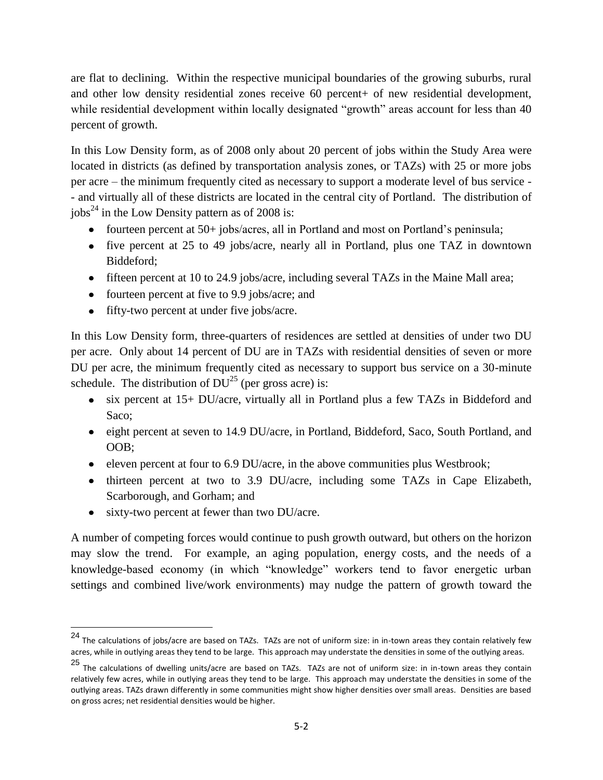are flat to declining. Within the respective municipal boundaries of the growing suburbs, rural and other low density residential zones receive 60 percent+ of new residential development, while residential development within locally designated "growth" areas account for less than 40 percent of growth.

In this Low Density form, as of 2008 only about 20 percent of jobs within the Study Area were located in districts (as defined by transportation analysis zones, or TAZs) with 25 or more jobs per acre – the minimum frequently cited as necessary to support a moderate level of bus service - - and virtually all of these districts are located in the central city of Portland. The distribution of jobs<sup>24</sup> in the Low Density pattern as of 2008 is:

- fourteen percent at 50+ jobs/acres, all in Portland and most on Portland's peninsula;
- five percent at 25 to 49 jobs/acre, nearly all in Portland, plus one TAZ in downtown Biddeford;
- fifteen percent at 10 to 24.9 jobs/acre, including several TAZs in the Maine Mall area;
- fourteen percent at five to 9.9 jobs/acre; and
- fifty-two percent at under five jobs/acre.

In this Low Density form, three-quarters of residences are settled at densities of under two DU per acre. Only about 14 percent of DU are in TAZs with residential densities of seven or more DU per acre, the minimum frequently cited as necessary to support bus service on a 30-minute schedule. The distribution of  $DU^{25}$  (per gross acre) is:

- six percent at 15+ DU/acre, virtually all in Portland plus a few TAZs in Biddeford and Saco;
- eight percent at seven to 14.9 DU/acre, in Portland, Biddeford, Saco, South Portland, and OOB;
- eleven percent at four to 6.9 DU/acre, in the above communities plus Westbrook;
- thirteen percent at two to 3.9 DU/acre, including some TAZs in Cape Elizabeth, Scarborough, and Gorham; and
- sixty-two percent at fewer than two DU/acre.

 $\overline{\phantom{a}}$ 

A number of competing forces would continue to push growth outward, but others on the horizon may slow the trend. For example, an aging population, energy costs, and the needs of a knowledge-based economy (in which "knowledge" workers tend to favor energetic urban settings and combined live/work environments) may nudge the pattern of growth toward the

<sup>24</sup> The calculations of jobs/acre are based on TAZs. TAZs are not of uniform size: in in-town areas they contain relatively few acres, while in outlying areas they tend to be large. This approach may understate the densities in some of the outlying areas.

<sup>25</sup> The calculations of dwelling units/acre are based on TAZs. TAZs are not of uniform size: in in-town areas they contain relatively few acres, while in outlying areas they tend to be large. This approach may understate the densities in some of the outlying areas. TAZs drawn differently in some communities might show higher densities over small areas. Densities are based on gross acres; net residential densities would be higher.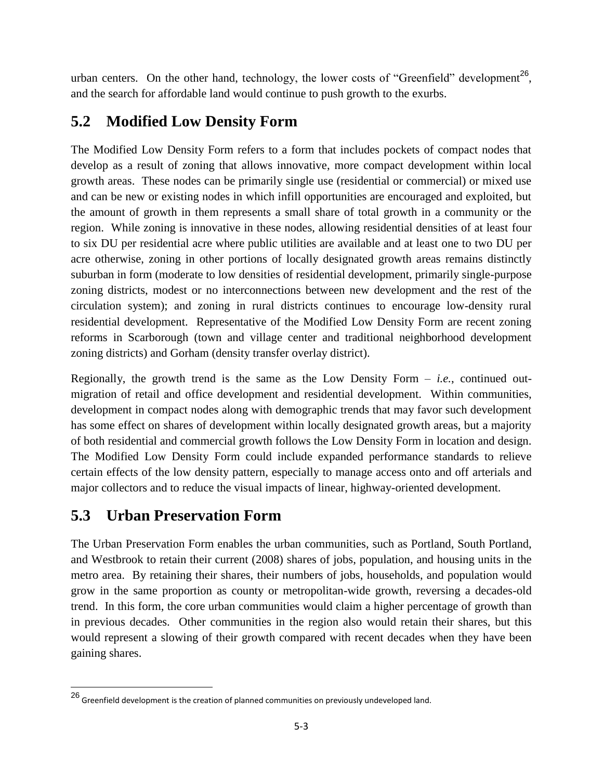urban centers. On the other hand, technology, the lower costs of "Greenfield" development<sup>26</sup>, and the search for affordable land would continue to push growth to the exurbs.

## **5.2 Modified Low Density Form**

The Modified Low Density Form refers to a form that includes pockets of compact nodes that develop as a result of zoning that allows innovative, more compact development within local growth areas. These nodes can be primarily single use (residential or commercial) or mixed use and can be new or existing nodes in which infill opportunities are encouraged and exploited, but the amount of growth in them represents a small share of total growth in a community or the region. While zoning is innovative in these nodes, allowing residential densities of at least four to six DU per residential acre where public utilities are available and at least one to two DU per acre otherwise, zoning in other portions of locally designated growth areas remains distinctly suburban in form (moderate to low densities of residential development, primarily single-purpose zoning districts, modest or no interconnections between new development and the rest of the circulation system); and zoning in rural districts continues to encourage low-density rural residential development. Representative of the Modified Low Density Form are recent zoning reforms in Scarborough (town and village center and traditional neighborhood development zoning districts) and Gorham (density transfer overlay district).

Regionally, the growth trend is the same as the Low Density Form  $-$  *i.e.*, continued outmigration of retail and office development and residential development. Within communities, development in compact nodes along with demographic trends that may favor such development has some effect on shares of development within locally designated growth areas, but a majority of both residential and commercial growth follows the Low Density Form in location and design. The Modified Low Density Form could include expanded performance standards to relieve certain effects of the low density pattern, especially to manage access onto and off arterials and major collectors and to reduce the visual impacts of linear, highway-oriented development.

# **5.3 Urban Preservation Form**

 $\overline{\phantom{a}}$ 

The Urban Preservation Form enables the urban communities, such as Portland, South Portland, and Westbrook to retain their current (2008) shares of jobs, population, and housing units in the metro area. By retaining their shares, their numbers of jobs, households, and population would grow in the same proportion as county or metropolitan-wide growth, reversing a decades-old trend. In this form, the core urban communities would claim a higher percentage of growth than in previous decades. Other communities in the region also would retain their shares, but this would represent a slowing of their growth compared with recent decades when they have been gaining shares.

<sup>26</sup> Greenfield development is the creation of planned communities on previously undeveloped land.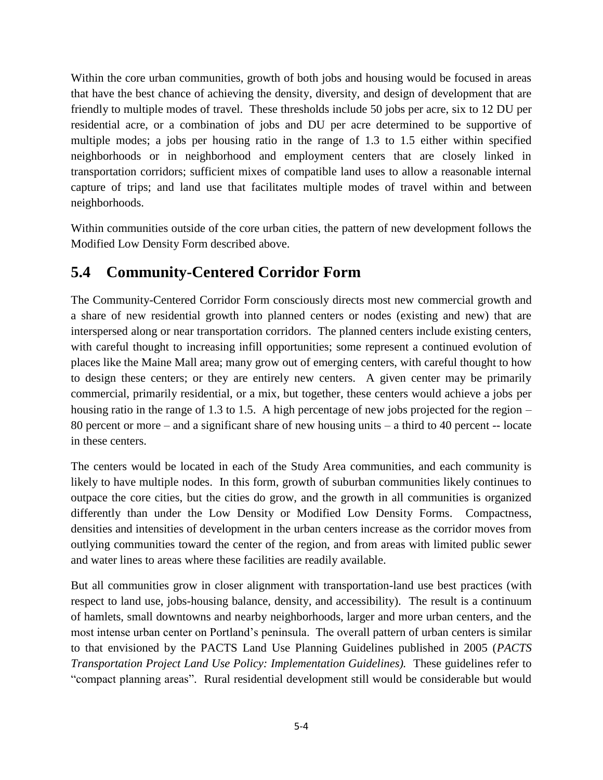Within the core urban communities, growth of both jobs and housing would be focused in areas that have the best chance of achieving the density, diversity, and design of development that are friendly to multiple modes of travel. These thresholds include 50 jobs per acre, six to 12 DU per residential acre, or a combination of jobs and DU per acre determined to be supportive of multiple modes; a jobs per housing ratio in the range of 1.3 to 1.5 either within specified neighborhoods or in neighborhood and employment centers that are closely linked in transportation corridors; sufficient mixes of compatible land uses to allow a reasonable internal capture of trips; and land use that facilitates multiple modes of travel within and between neighborhoods.

Within communities outside of the core urban cities, the pattern of new development follows the Modified Low Density Form described above.

## **5.4 Community-Centered Corridor Form**

The Community-Centered Corridor Form consciously directs most new commercial growth and a share of new residential growth into planned centers or nodes (existing and new) that are interspersed along or near transportation corridors. The planned centers include existing centers, with careful thought to increasing infill opportunities; some represent a continued evolution of places like the Maine Mall area; many grow out of emerging centers, with careful thought to how to design these centers; or they are entirely new centers. A given center may be primarily commercial, primarily residential, or a mix, but together, these centers would achieve a jobs per housing ratio in the range of 1.3 to 1.5. A high percentage of new jobs projected for the region – 80 percent or more – and a significant share of new housing units – a third to 40 percent -- locate in these centers.

The centers would be located in each of the Study Area communities, and each community is likely to have multiple nodes. In this form, growth of suburban communities likely continues to outpace the core cities, but the cities do grow, and the growth in all communities is organized differently than under the Low Density or Modified Low Density Forms. Compactness, densities and intensities of development in the urban centers increase as the corridor moves from outlying communities toward the center of the region, and from areas with limited public sewer and water lines to areas where these facilities are readily available.

But all communities grow in closer alignment with transportation-land use best practices (with respect to land use, jobs-housing balance, density, and accessibility). The result is a continuum of hamlets, small downtowns and nearby neighborhoods, larger and more urban centers, and the most intense urban center on Portland's peninsula. The overall pattern of urban centers is similar to that envisioned by the PACTS Land Use Planning Guidelines published in 2005 (*PACTS Transportation Project Land Use Policy: Implementation Guidelines).* These guidelines refer to "compact planning areas". Rural residential development still would be considerable but would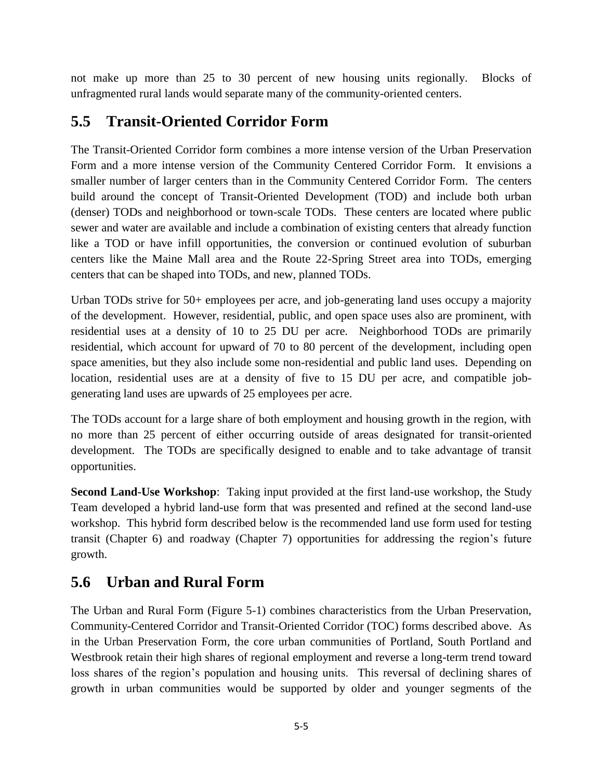not make up more than 25 to 30 percent of new housing units regionally. Blocks of unfragmented rural lands would separate many of the community-oriented centers.

## **5.5 Transit-Oriented Corridor Form**

The Transit-Oriented Corridor form combines a more intense version of the Urban Preservation Form and a more intense version of the Community Centered Corridor Form. It envisions a smaller number of larger centers than in the Community Centered Corridor Form. The centers build around the concept of Transit-Oriented Development (TOD) and include both urban (denser) TODs and neighborhood or town-scale TODs. These centers are located where public sewer and water are available and include a combination of existing centers that already function like a TOD or have infill opportunities, the conversion or continued evolution of suburban centers like the Maine Mall area and the Route 22-Spring Street area into TODs, emerging centers that can be shaped into TODs, and new, planned TODs.

Urban TODs strive for 50+ employees per acre, and job-generating land uses occupy a majority of the development. However, residential, public, and open space uses also are prominent, with residential uses at a density of 10 to 25 DU per acre. Neighborhood TODs are primarily residential, which account for upward of 70 to 80 percent of the development, including open space amenities, but they also include some non-residential and public land uses. Depending on location, residential uses are at a density of five to 15 DU per acre, and compatible jobgenerating land uses are upwards of 25 employees per acre.

The TODs account for a large share of both employment and housing growth in the region, with no more than 25 percent of either occurring outside of areas designated for transit-oriented development. The TODs are specifically designed to enable and to take advantage of transit opportunities.

**Second Land-Use Workshop**: Taking input provided at the first land-use workshop, the Study Team developed a hybrid land-use form that was presented and refined at the second land-use workshop. This hybrid form described below is the recommended land use form used for testing transit (Chapter 6) and roadway (Chapter 7) opportunities for addressing the region's future growth.

## **5.6 Urban and Rural Form**

The Urban and Rural Form (Figure 5-1) combines characteristics from the Urban Preservation, Community-Centered Corridor and Transit-Oriented Corridor (TOC) forms described above. As in the Urban Preservation Form, the core urban communities of Portland, South Portland and Westbrook retain their high shares of regional employment and reverse a long-term trend toward loss shares of the region's population and housing units. This reversal of declining shares of growth in urban communities would be supported by older and younger segments of the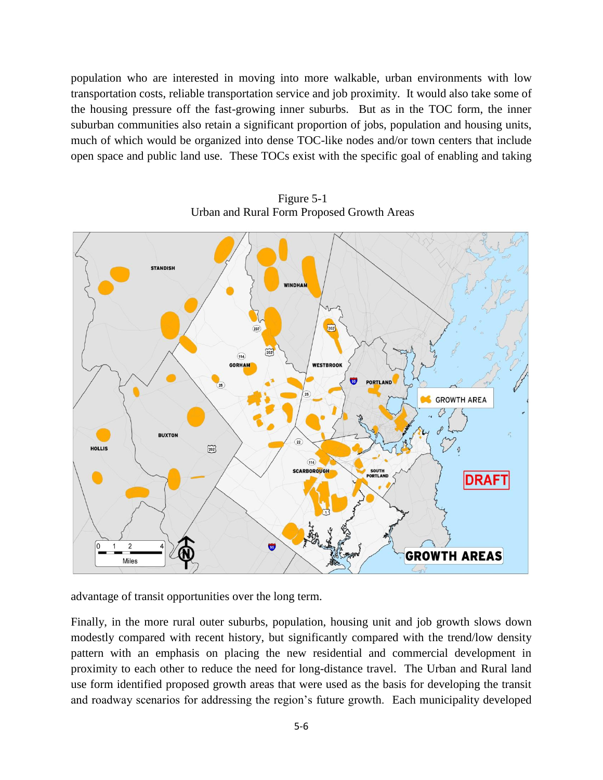population who are interested in moving into more walkable, urban environments with low transportation costs, reliable transportation service and job proximity. It would also take some of the housing pressure off the fast-growing inner suburbs. But as in the TOC form, the inner suburban communities also retain a significant proportion of jobs, population and housing units, much of which would be organized into dense TOC-like nodes and/or town centers that include open space and public land use. These TOCs exist with the specific goal of enabling and taking



Figure 5-1 Urban and Rural Form Proposed Growth Areas

advantage of transit opportunities over the long term.

Finally, in the more rural outer suburbs, population, housing unit and job growth slows down modestly compared with recent history, but significantly compared with the trend/low density pattern with an emphasis on placing the new residential and commercial development in proximity to each other to reduce the need for long-distance travel. The Urban and Rural land use form identified proposed growth areas that were used as the basis for developing the transit and roadway scenarios for addressing the region's future growth. Each municipality developed